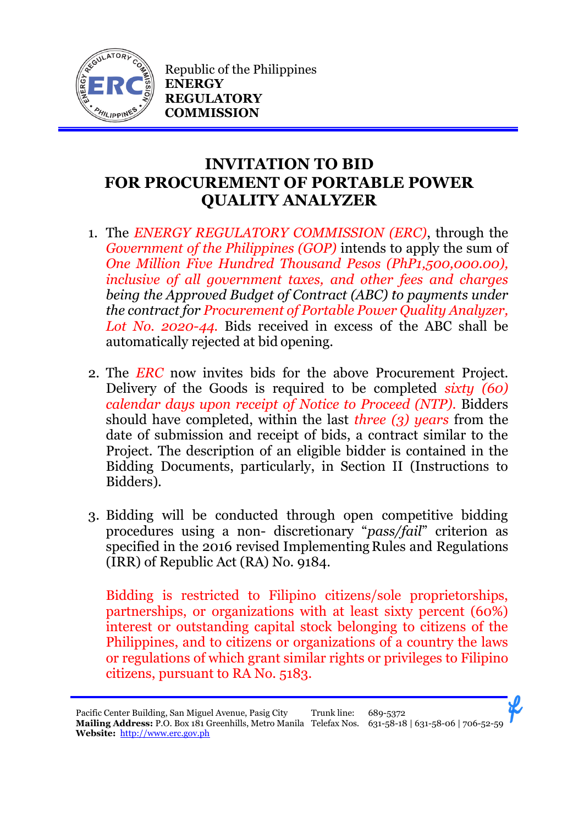

Republic of the Philippines **ENERGY REGULATORY COMMISSION**

## **INVITATION TO BID FOR PROCUREMENT OF PORTABLE POWER QUALITY ANALYZER**

- 1. The *ENERGY REGULATORY COMMISSION (ERC)*, through the *Government of the Philippines (GOP)* intends to apply the sum of *One Million Five Hundred Thousand Pesos (PhP1,500,000.00), inclusive of all government taxes, and other fees and charges being the Approved Budget of Contract (ABC) to payments under the contract for Procurement of Portable Power Quality Analyzer, Lot No. 2020-44.* Bids received in excess of the ABC shall be automatically rejected at bid opening.
- 2. The *ERC* now invites bids for the above Procurement Project. Delivery of the Goods is required to be completed *sixty (60) calendar days upon receipt of Notice to Proceed (NTP).* Bidders should have completed, within the last *three (3) years* from the date of submission and receipt of bids, a contract similar to the Project. The description of an eligible bidder is contained in the Bidding Documents, particularly, in Section II (Instructions to Bidders).
- 3. Bidding will be conducted through open competitive bidding procedures using a non- discretionary "*pass/fail*" criterion as specified in the 2016 revised Implementing Rules and Regulations (IRR) of Republic Act (RA) No. 9184.

Bidding is restricted to Filipino citizens/sole proprietorships, partnerships, or organizations with at least sixty percent (60%) interest or outstanding capital stock belonging to citizens of the Philippines, and to citizens or organizations of a country the laws or regulations of which grant similar rights or privileges to Filipino citizens, pursuant to RA No. 5183.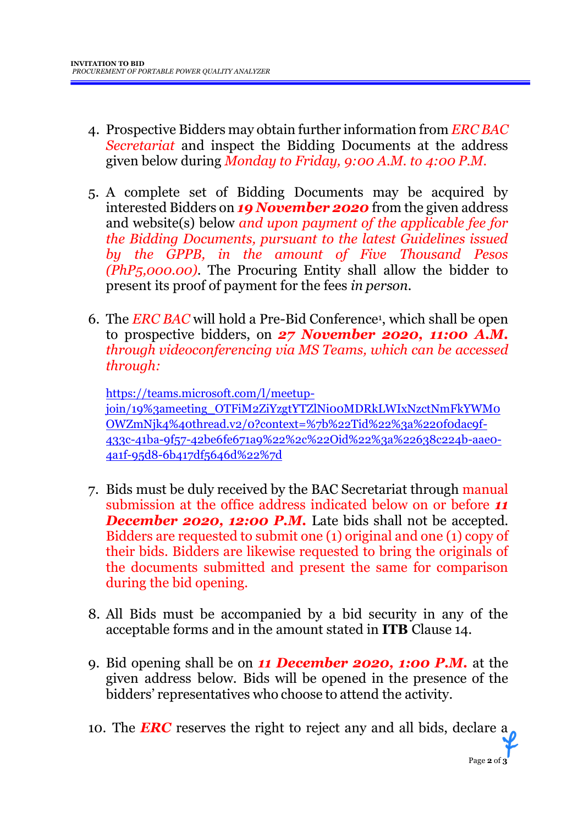- 4. Prospective Bidders may obtain further information from *ERC BAC Secretariat* and inspect the Bidding Documents at the address given below during *Monday to Friday, 9:00 A.M. to 4:00 P.M*.
- 5. A complete set of Bidding Documents may be acquired by interested Bidders on *19 November 2020* from the given address and website(s) below *and upon payment of the applicable fee for the Bidding Documents, pursuant to the latest Guidelines issued by the GPPB, in the amount of Five Thousand Pesos (PhP5,000.00)*. The Procuring Entity shall allow the bidder to present its proof of payment for the fees *in person.*
- 6. The *ERC BAC* will hold a Pre-Bid Conference<sup>1</sup> , which shall be open to prospective bidders, on *27 November 2020, 11:00 A.M. through videoconferencing via MS Teams, which can be accessed through:*

[https://teams.microsoft.com/l/meetup](https://teams.microsoft.com/l/meetup-join/19%3ameeting_OTFiM2ZiYzgtYTZlNi00MDRkLWIxNzctNmFkYWM0OWZmNjk4%40thread.v2/0?context=%7b%22Tid%22%3a%220f0dac9f-433c-41ba-9f57-42be6fe671a9%22%2c%22Oid%22%3a%22638c224b-aae0-4a1f-95d8-6b417df5646d%22%7d)[join/19%3ameeting\\_OTFiM2ZiYzgtYTZlNi00MDRkLWIxNzctNmFkYWM0](https://teams.microsoft.com/l/meetup-join/19%3ameeting_OTFiM2ZiYzgtYTZlNi00MDRkLWIxNzctNmFkYWM0OWZmNjk4%40thread.v2/0?context=%7b%22Tid%22%3a%220f0dac9f-433c-41ba-9f57-42be6fe671a9%22%2c%22Oid%22%3a%22638c224b-aae0-4a1f-95d8-6b417df5646d%22%7d) [OWZmNjk4%40thread.v2/0?context=%7b%22Tid%22%3a%220f0dac9f-](https://teams.microsoft.com/l/meetup-join/19%3ameeting_OTFiM2ZiYzgtYTZlNi00MDRkLWIxNzctNmFkYWM0OWZmNjk4%40thread.v2/0?context=%7b%22Tid%22%3a%220f0dac9f-433c-41ba-9f57-42be6fe671a9%22%2c%22Oid%22%3a%22638c224b-aae0-4a1f-95d8-6b417df5646d%22%7d)[433c-41ba-9f57-42be6fe671a9%22%2c%22Oid%22%3a%22638c224b-aae0-](https://teams.microsoft.com/l/meetup-join/19%3ameeting_OTFiM2ZiYzgtYTZlNi00MDRkLWIxNzctNmFkYWM0OWZmNjk4%40thread.v2/0?context=%7b%22Tid%22%3a%220f0dac9f-433c-41ba-9f57-42be6fe671a9%22%2c%22Oid%22%3a%22638c224b-aae0-4a1f-95d8-6b417df5646d%22%7d) [4a1f-95d8-6b417df5646d%22%7d](https://teams.microsoft.com/l/meetup-join/19%3ameeting_OTFiM2ZiYzgtYTZlNi00MDRkLWIxNzctNmFkYWM0OWZmNjk4%40thread.v2/0?context=%7b%22Tid%22%3a%220f0dac9f-433c-41ba-9f57-42be6fe671a9%22%2c%22Oid%22%3a%22638c224b-aae0-4a1f-95d8-6b417df5646d%22%7d)

- 7. Bids must be duly received by the BAC Secretariat through manual submission at the office address indicated below on or before *11* **December 2020, 12:00 P.M.** Late bids shall not be accepted. Bidders are requested to submit one (1) original and one (1) copy of their bids. Bidders are likewise requested to bring the originals of the documents submitted and present the same for comparison during the bid opening.
- 8. All Bids must be accompanied by a bid security in any of the acceptable forms and in the amount stated in **ITB** Clause 14.
- 9. Bid opening shall be on *11 December 2020, 1:00 P.M.* at the given address below. Bids will be opened in the presence of the bidders' representatives who choose to attend the activity.
- 10. The *ERC* reserves the right to reject any and all bids, declare a